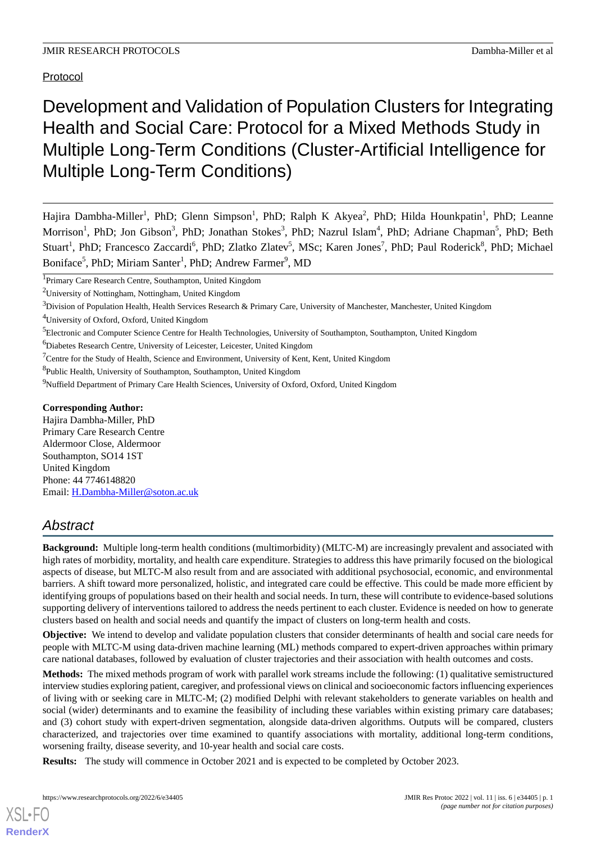Protocol

# Development and Validation of Population Clusters for Integrating Health and Social Care: Protocol for a Mixed Methods Study in Multiple Long-Term Conditions (Cluster-Artificial Intelligence for Multiple Long-Term Conditions)

Hajira Dambha-Miller<sup>1</sup>, PhD; Glenn Simpson<sup>1</sup>, PhD; Ralph K Akyea<sup>2</sup>, PhD; Hilda Hounkpatin<sup>1</sup>, PhD; Leanne Morrison<sup>1</sup>, PhD; Jon Gibson<sup>3</sup>, PhD; Jonathan Stokes<sup>3</sup>, PhD; Nazrul Islam<sup>4</sup>, PhD; Adriane Chapman<sup>5</sup>, PhD; Beth Stuart<sup>1</sup>, PhD; Francesco Zaccardi<sup>6</sup>, PhD; Zlatko Zlatev<sup>5</sup>, MSc; Karen Jones<sup>7</sup>, PhD; Paul Roderick<sup>8</sup>, PhD; Michael Boniface<sup>5</sup>, PhD; Miriam Santer<sup>1</sup>, PhD; Andrew Farmer<sup>9</sup>, MD

<sup>5</sup>Electronic and Computer Science Centre for Health Technologies, University of Southampton, Southampton, United Kingdom

<sup>6</sup>Diabetes Research Centre, University of Leicester, Leicester, United Kingdom

<sup>8</sup>Public Health, University of Southampton, Southampton, United Kingdom

<sup>9</sup>Nuffield Department of Primary Care Health Sciences, University of Oxford, Oxford, United Kingdom

## **Corresponding Author:**

Hajira Dambha-Miller, PhD Primary Care Research Centre Aldermoor Close, Aldermoor Southampton, SO14 1ST United Kingdom Phone: 44 7746148820 Email: [H.Dambha-Miller@soton.ac.uk](mailto:H.Dambha-Miller@soton.ac.uk)

## *Abstract*

**Background:** Multiple long-term health conditions (multimorbidity) (MLTC-M) are increasingly prevalent and associated with high rates of morbidity, mortality, and health care expenditure. Strategies to address this have primarily focused on the biological aspects of disease, but MLTC-M also result from and are associated with additional psychosocial, economic, and environmental barriers. A shift toward more personalized, holistic, and integrated care could be effective. This could be made more efficient by identifying groups of populations based on their health and social needs. In turn, these will contribute to evidence-based solutions supporting delivery of interventions tailored to address the needs pertinent to each cluster. Evidence is needed on how to generate clusters based on health and social needs and quantify the impact of clusters on long-term health and costs.

**Objective:** We intend to develop and validate population clusters that consider determinants of health and social care needs for people with MLTC-M using data-driven machine learning (ML) methods compared to expert-driven approaches within primary care national databases, followed by evaluation of cluster trajectories and their association with health outcomes and costs.

**Methods:** The mixed methods program of work with parallel work streams include the following: (1) qualitative semistructured interview studies exploring patient, caregiver, and professional views on clinical and socioeconomic factors influencing experiences of living with or seeking care in MLTC-M; (2) modified Delphi with relevant stakeholders to generate variables on health and social (wider) determinants and to examine the feasibility of including these variables within existing primary care databases; and (3) cohort study with expert-driven segmentation, alongside data-driven algorithms. Outputs will be compared, clusters characterized, and trajectories over time examined to quantify associations with mortality, additional long-term conditions, worsening frailty, disease severity, and 10-year health and social care costs.

**Results:** The study will commence in October 2021 and is expected to be completed by October 2023.

[XSL](http://www.w3.org/Style/XSL)•FO **[RenderX](http://www.renderx.com/)**

<sup>&</sup>lt;sup>1</sup>Primary Care Research Centre, Southampton, United Kingdom

<sup>2</sup>University of Nottingham, Nottingham, United Kingdom

 $3$ Division of Population Health, Health Services Research & Primary Care, University of Manchester, Manchester, United Kingdom

<sup>4</sup>University of Oxford, Oxford, United Kingdom

<sup>&</sup>lt;sup>7</sup>Centre for the Study of Health, Science and Environment, University of Kent, Kent, United Kingdom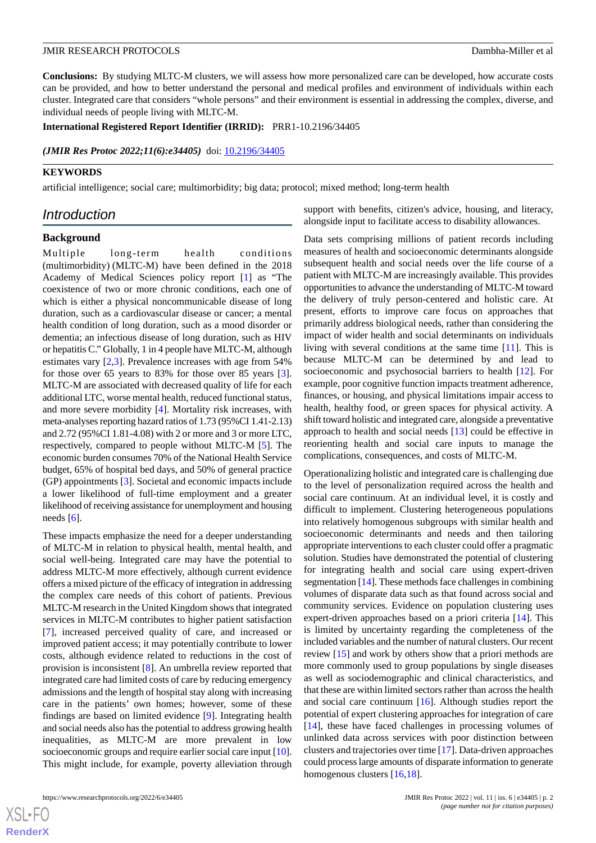**Conclusions:** By studying MLTC-M clusters, we will assess how more personalized care can be developed, how accurate costs can be provided, and how to better understand the personal and medical profiles and environment of individuals within each cluster. Integrated care that considers "whole persons" and their environment is essential in addressing the complex, diverse, and individual needs of people living with MLTC-M.

## **International Registered Report Identifier (IRRID):** PRR1-10.2196/34405

*(JMIR Res Protoc 2022;11(6):e34405)* doi:  $10.2196/34405$ 

## **KEYWORDS**

artificial intelligence; social care; multimorbidity; big data; protocol; mixed method; long-term health

## *Introduction*

#### **Background**

Multiple long-term health conditions (multimorbidity) (MLTC-M) have been defined in the 2018 Academy of Medical Sciences policy report [[1](#page-7-0)] as "The coexistence of two or more chronic conditions, each one of which is either a physical noncommunicable disease of long duration, such as a cardiovascular disease or cancer; a mental health condition of long duration, such as a mood disorder or dementia; an infectious disease of long duration, such as HIV or hepatitis C." Globally, 1 in 4 people have MLTC-M, although estimates vary [\[2](#page-7-1),[3\]](#page-8-0). Prevalence increases with age from 54% for those over 65 years to 83% for those over 85 years [[3\]](#page-8-0). MLTC-M are associated with decreased quality of life for each additional LTC, worse mental health, reduced functional status, and more severe morbidity [\[4](#page-8-1)]. Mortality risk increases, with meta-analyses reporting hazard ratios of 1.73 (95%CI 1.41-2.13) and 2.72 (95%CI 1.81-4.08) with 2 or more and 3 or more LTC, respectively, compared to people without MLTC-M [[5](#page-8-2)]. The economic burden consumes 70% of the National Health Service budget, 65% of hospital bed days, and 50% of general practice (GP) appointments [[3\]](#page-8-0). Societal and economic impacts include a lower likelihood of full-time employment and a greater likelihood of receiving assistance for unemployment and housing needs  $[6]$  $[6]$ .

These impacts emphasize the need for a deeper understanding of MLTC-M in relation to physical health, mental health, and social well-being. Integrated care may have the potential to address MLTC-M more effectively, although current evidence offers a mixed picture of the efficacy of integration in addressing the complex care needs of this cohort of patients. Previous MLTC-M research in the United Kingdom shows that integrated services in MLTC-M contributes to higher patient satisfaction [[7\]](#page-8-4), increased perceived quality of care, and increased or improved patient access; it may potentially contribute to lower costs, although evidence related to reductions in the cost of provision is inconsistent [[8](#page-8-5)]. An umbrella review reported that integrated care had limited costs of care by reducing emergency admissions and the length of hospital stay along with increasing care in the patients' own homes; however, some of these findings are based on limited evidence [\[9](#page-8-6)]. Integrating health and social needs also has the potential to address growing health inequalities, as MLTC-M are more prevalent in low socioeconomic groups and require earlier social care input [\[10\]](#page-8-7). This might include, for example, poverty alleviation through

support with benefits, citizen's advice, housing, and literacy, alongside input to facilitate access to disability allowances.

Data sets comprising millions of patient records including measures of health and socioeconomic determinants alongside subsequent health and social needs over the life course of a patient with MLTC-M are increasingly available. This provides opportunities to advance the understanding of MLTC-M toward the delivery of truly person-centered and holistic care. At present, efforts to improve care focus on approaches that primarily address biological needs, rather than considering the impact of wider health and social determinants on individuals living with several conditions at the same time [\[11](#page-8-8)]. This is because MLTC-M can be determined by and lead to socioeconomic and psychosocial barriers to health [\[12](#page-8-9)]. For example, poor cognitive function impacts treatment adherence, finances, or housing, and physical limitations impair access to health, healthy food, or green spaces for physical activity. A shift toward holistic and integrated care, alongside a preventative approach to health and social needs [[13\]](#page-8-10) could be effective in reorienting health and social care inputs to manage the complications, consequences, and costs of MLTC-M.

Operationalizing holistic and integrated care is challenging due to the level of personalization required across the health and social care continuum. At an individual level, it is costly and difficult to implement. Clustering heterogeneous populations into relatively homogenous subgroups with similar health and socioeconomic determinants and needs and then tailoring appropriate interventions to each cluster could offer a pragmatic solution. Studies have demonstrated the potential of clustering for integrating health and social care using expert-driven segmentation [\[14](#page-8-11)]. These methods face challenges in combining volumes of disparate data such as that found across social and community services. Evidence on population clustering uses expert-driven approaches based on a priori criteria [[14\]](#page-8-11). This is limited by uncertainty regarding the completeness of the included variables and the number of natural clusters. Our recent review [\[15](#page-8-12)] and work by others show that a priori methods are more commonly used to group populations by single diseases as well as sociodemographic and clinical characteristics, and that these are within limited sectors rather than across the health and social care continuum [[16\]](#page-8-13). Although studies report the potential of expert clustering approaches for integration of care [[14\]](#page-8-11), these have faced challenges in processing volumes of unlinked data across services with poor distinction between clusters and trajectories over time [[17\]](#page-8-14). Data-driven approaches could process large amounts of disparate information to generate homogenous clusters [[16,](#page-8-13)[18](#page-8-15)].

 $XS$  • FO **[RenderX](http://www.renderx.com/)**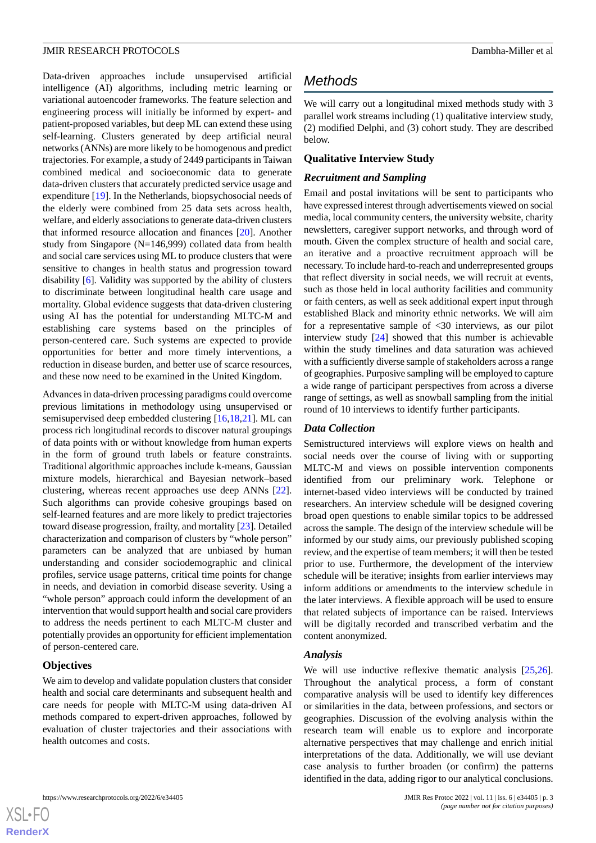Data-driven approaches include unsupervised artificial intelligence (AI) algorithms, including metric learning or variational autoencoder frameworks. The feature selection and engineering process will initially be informed by expert- and patient-proposed variables, but deep ML can extend these using self-learning. Clusters generated by deep artificial neural networks (ANNs) are more likely to be homogenous and predict trajectories. For example, a study of 2449 participants in Taiwan combined medical and socioeconomic data to generate data-driven clusters that accurately predicted service usage and expenditure [\[19](#page-8-16)]. In the Netherlands, biopsychosocial needs of the elderly were combined from 25 data sets across health, welfare, and elderly associations to generate data-driven clusters that informed resource allocation and finances [[20\]](#page-8-17). Another study from Singapore (N=146,999) collated data from health and social care services using ML to produce clusters that were sensitive to changes in health status and progression toward disability [[6\]](#page-8-3). Validity was supported by the ability of clusters to discriminate between longitudinal health care usage and mortality. Global evidence suggests that data-driven clustering using AI has the potential for understanding MLTC-M and establishing care systems based on the principles of person-centered care. Such systems are expected to provide opportunities for better and more timely interventions, a reduction in disease burden, and better use of scarce resources, and these now need to be examined in the United Kingdom.

Advances in data-driven processing paradigms could overcome previous limitations in methodology using unsupervised or semisupervised deep embedded clustering [[16](#page-8-13)[,18](#page-8-15),[21\]](#page-8-18). ML can process rich longitudinal records to discover natural groupings of data points with or without knowledge from human experts in the form of ground truth labels or feature constraints. Traditional algorithmic approaches include k-means, Gaussian mixture models, hierarchical and Bayesian network–based clustering, whereas recent approaches use deep ANNs [[22\]](#page-8-19). Such algorithms can provide cohesive groupings based on self-learned features and are more likely to predict trajectories toward disease progression, frailty, and mortality [\[23](#page-8-20)]. Detailed characterization and comparison of clusters by "whole person" parameters can be analyzed that are unbiased by human understanding and consider sociodemographic and clinical profiles, service usage patterns, critical time points for change in needs, and deviation in comorbid disease severity. Using a "whole person" approach could inform the development of an intervention that would support health and social care providers to address the needs pertinent to each MLTC-M cluster and potentially provides an opportunity for efficient implementation of person-centered care.

## **Objectives**

 $XS$  $\cdot$ FC **[RenderX](http://www.renderx.com/)**

We aim to develop and validate population clusters that consider health and social care determinants and subsequent health and care needs for people with MLTC-M using data-driven AI methods compared to expert-driven approaches, followed by evaluation of cluster trajectories and their associations with health outcomes and costs.

## *Methods*

We will carry out a longitudinal mixed methods study with 3 parallel work streams including (1) qualitative interview study, (2) modified Delphi, and (3) cohort study. They are described below.

## **Qualitative Interview Study**

## *Recruitment and Sampling*

Email and postal invitations will be sent to participants who have expressed interest through advertisements viewed on social media, local community centers, the university website, charity newsletters, caregiver support networks, and through word of mouth. Given the complex structure of health and social care, an iterative and a proactive recruitment approach will be necessary. To include hard-to-reach and underrepresented groups that reflect diversity in social needs, we will recruit at events, such as those held in local authority facilities and community or faith centers, as well as seek additional expert input through established Black and minority ethnic networks. We will aim for a representative sample of <30 interviews, as our pilot interview study [[24\]](#page-8-21) showed that this number is achievable within the study timelines and data saturation was achieved with a sufficiently diverse sample of stakeholders across a range of geographies. Purposive sampling will be employed to capture a wide range of participant perspectives from across a diverse range of settings, as well as snowball sampling from the initial round of 10 interviews to identify further participants.

## *Data Collection*

Semistructured interviews will explore views on health and social needs over the course of living with or supporting MLTC-M and views on possible intervention components identified from our preliminary work. Telephone or internet-based video interviews will be conducted by trained researchers. An interview schedule will be designed covering broad open questions to enable similar topics to be addressed across the sample. The design of the interview schedule will be informed by our study aims, our previously published scoping review, and the expertise of team members; it will then be tested prior to use. Furthermore, the development of the interview schedule will be iterative; insights from earlier interviews may inform additions or amendments to the interview schedule in the later interviews. A flexible approach will be used to ensure that related subjects of importance can be raised. Interviews will be digitally recorded and transcribed verbatim and the content anonymized.

## *Analysis*

We will use inductive reflexive thematic analysis [\[25](#page-9-0),[26\]](#page-9-1). Throughout the analytical process, a form of constant comparative analysis will be used to identify key differences or similarities in the data, between professions, and sectors or geographies. Discussion of the evolving analysis within the research team will enable us to explore and incorporate alternative perspectives that may challenge and enrich initial interpretations of the data. Additionally, we will use deviant case analysis to further broaden (or confirm) the patterns identified in the data, adding rigor to our analytical conclusions.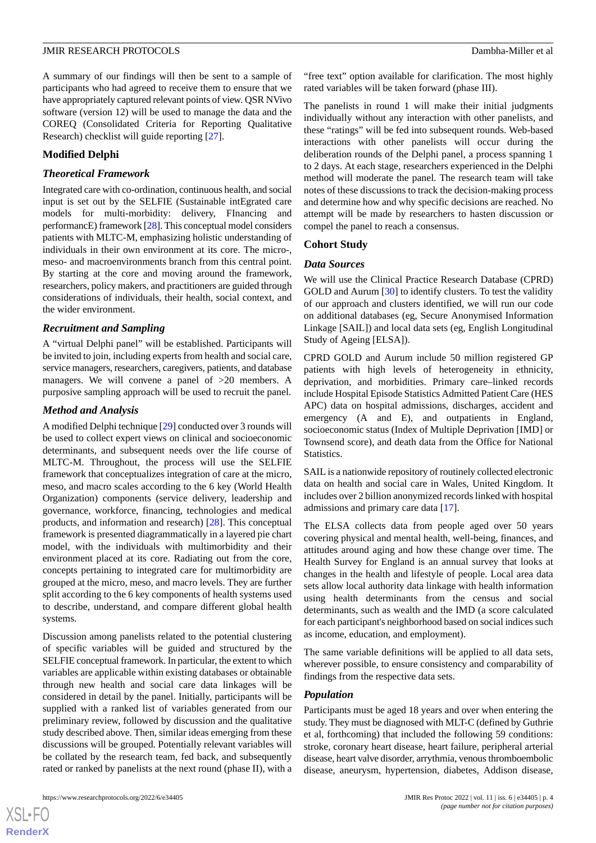A summary of our findings will then be sent to a sample of participants who had agreed to receive them to ensure that we have appropriately captured relevant points of view. QSR NVivo software (version 12) will be used to manage the data and the COREQ (Consolidated Criteria for Reporting Qualitative Research) checklist will guide reporting [\[27](#page-9-2)].

## **Modified Delphi**

## *Theoretical Framework*

Integrated care with co-ordination, continuous health, and social input is set out by the SELFIE (Sustainable intEgrated care models for multi-morbidity: delivery, FInancing and performancE) framework [[28\]](#page-9-3). This conceptual model considers patients with MLTC-M, emphasizing holistic understanding of individuals in their own environment at its core. The micro-, meso- and macroenvironments branch from this central point. By starting at the core and moving around the framework, researchers, policy makers, and practitioners are guided through considerations of individuals, their health, social context, and the wider environment.

## *Recruitment and Sampling*

A "virtual Delphi panel" will be established. Participants will be invited to join, including experts from health and social care, service managers, researchers, caregivers, patients, and database managers. We will convene a panel of >20 members. A purposive sampling approach will be used to recruit the panel.

## *Method and Analysis*

A modified Delphi technique [[29\]](#page-9-4) conducted over 3 rounds will be used to collect expert views on clinical and socioeconomic determinants, and subsequent needs over the life course of MLTC-M. Throughout, the process will use the SELFIE framework that conceptualizes integration of care at the micro, meso, and macro scales according to the 6 key (World Health Organization) components (service delivery, leadership and governance, workforce, financing, technologies and medical products, and information and research) [\[28](#page-9-3)]. This conceptual framework is presented diagrammatically in a layered pie chart model, with the individuals with multimorbidity and their environment placed at its core. Radiating out from the core, concepts pertaining to integrated care for multimorbidity are grouped at the micro, meso, and macro levels. They are further split according to the 6 key components of health systems used to describe, understand, and compare different global health systems.

Discussion among panelists related to the potential clustering of specific variables will be guided and structured by the SELFIE conceptual framework. In particular, the extent to which variables are applicable within existing databases or obtainable through new health and social care data linkages will be considered in detail by the panel. Initially, participants will be supplied with a ranked list of variables generated from our preliminary review, followed by discussion and the qualitative study described above. Then, similar ideas emerging from these discussions will be grouped. Potentially relevant variables will be collated by the research team, fed back, and subsequently rated or ranked by panelists at the next round (phase II), with a

"free text" option available for clarification. The most highly rated variables will be taken forward (phase III).

The panelists in round 1 will make their initial judgments individually without any interaction with other panelists, and these "ratings" will be fed into subsequent rounds. Web-based interactions with other panelists will occur during the deliberation rounds of the Delphi panel, a process spanning 1 to 2 days. At each stage, researchers experienced in the Delphi method will moderate the panel. The research team will take notes of these discussions to track the decision-making process and determine how and why specific decisions are reached. No attempt will be made by researchers to hasten discussion or compel the panel to reach a consensus.

## **Cohort Study**

## *Data Sources*

We will use the Clinical Practice Research Database (CPRD) GOLD and Aurum [\[30](#page-9-5)] to identify clusters. To test the validity of our approach and clusters identified, we will run our code on additional databases (eg, Secure Anonymised Information Linkage [SAIL]) and local data sets (eg, English Longitudinal Study of Ageing [ELSA]).

CPRD GOLD and Aurum include 50 million registered GP patients with high levels of heterogeneity in ethnicity, deprivation, and morbidities. Primary care–linked records include Hospital Episode Statistics Admitted Patient Care (HES APC) data on hospital admissions, discharges, accident and emergency (A and E), and outpatients in England, socioeconomic status (Index of Multiple Deprivation [IMD] or Townsend score), and death data from the Office for National Statistics.

SAIL is a nationwide repository of routinely collected electronic data on health and social care in Wales, United Kingdom. It includes over 2 billion anonymized records linked with hospital admissions and primary care data [\[17](#page-8-14)].

The ELSA collects data from people aged over 50 years covering physical and mental health, well-being, finances, and attitudes around aging and how these change over time. The Health Survey for England is an annual survey that looks at changes in the health and lifestyle of people. Local area data sets allow local authority data linkage with health information using health determinants from the census and social determinants, such as wealth and the IMD (a score calculated for each participant's neighborhood based on social indices such as income, education, and employment).

The same variable definitions will be applied to all data sets, wherever possible, to ensure consistency and comparability of findings from the respective data sets.

## *Population*

Participants must be aged 18 years and over when entering the study. They must be diagnosed with MLT-C (defined by Guthrie et al, forthcoming) that included the following 59 conditions: stroke, coronary heart disease, heart failure, peripheral arterial disease, heart valve disorder, arrythmia, venous thromboembolic disease, aneurysm, hypertension, diabetes, Addison disease,

 $XS$  $\cdot$ FC **[RenderX](http://www.renderx.com/)**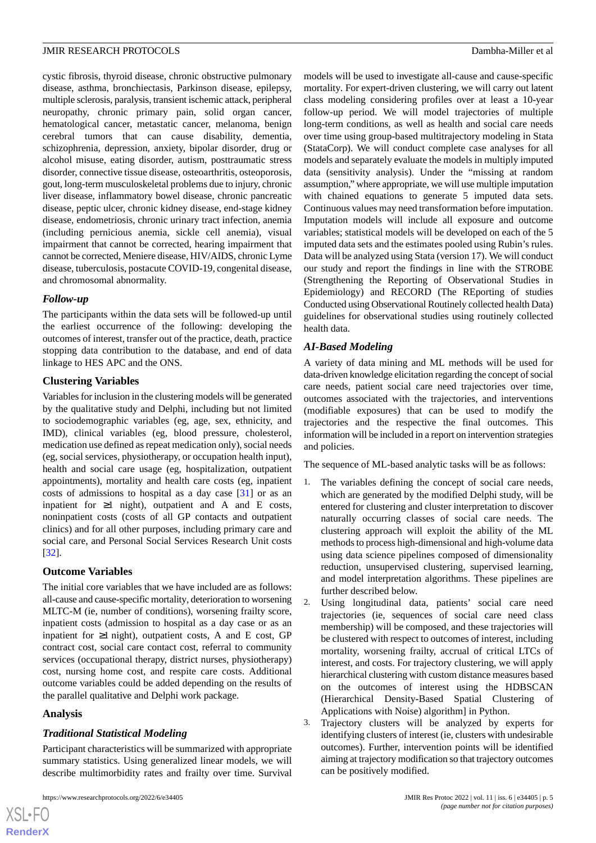cystic fibrosis, thyroid disease, chronic obstructive pulmonary disease, asthma, bronchiectasis, Parkinson disease, epilepsy, multiple sclerosis, paralysis, transient ischemic attack, peripheral neuropathy, chronic primary pain, solid organ cancer, hematological cancer, metastatic cancer, melanoma, benign cerebral tumors that can cause disability, dementia, schizophrenia, depression, anxiety, bipolar disorder, drug or alcohol misuse, eating disorder, autism, posttraumatic stress disorder, connective tissue disease, osteoarthritis, osteoporosis, gout, long-term musculoskeletal problems due to injury, chronic liver disease, inflammatory bowel disease, chronic pancreatic disease, peptic ulcer, chronic kidney disease, end-stage kidney disease, endometriosis, chronic urinary tract infection, anemia (including pernicious anemia, sickle cell anemia), visual impairment that cannot be corrected, hearing impairment that cannot be corrected, Meniere disease, HIV/AIDS, chronic Lyme disease, tuberculosis, postacute COVID-19, congenital disease, and chromosomal abnormality.

## *Follow-up*

The participants within the data sets will be followed-up until the earliest occurrence of the following: developing the outcomes of interest, transfer out of the practice, death, practice stopping data contribution to the database, and end of data linkage to HES APC and the ONS.

## **Clustering Variables**

Variables for inclusion in the clustering models will be generated by the qualitative study and Delphi, including but not limited to sociodemographic variables (eg, age, sex, ethnicity, and IMD), clinical variables (eg, blood pressure, cholesterol, medication use defined as repeat medication only), social needs (eg, social services, physiotherapy, or occupation health input), health and social care usage (eg, hospitalization, outpatient appointments), mortality and health care costs (eg, inpatient costs of admissions to hospital as a day case [[31\]](#page-9-6) or as an inpatient for  $\geq 1$  night), outpatient and A and E costs, noninpatient costs (costs of all GP contacts and outpatient clinics) and for all other purposes, including primary care and social care, and Personal Social Services Research Unit costs [[32\]](#page-9-7).

## **Outcome Variables**

The initial core variables that we have included are as follows: all-cause and cause-specific mortality*,* deterioration to worsening MLTC-M (ie, number of conditions), worsening frailty score, inpatient costs (admission to hospital as a day case or as an inpatient for  $\geq 1$  night), outpatient costs, A and E cost, GP contract cost, social care contact cost, referral to community services (occupational therapy, district nurses, physiotherapy) cost, nursing home cost, and respite care costs. Additional outcome variables could be added depending on the results of the parallel qualitative and Delphi work package.

## **Analysis**

 $XS$  $\cdot$ FC **[RenderX](http://www.renderx.com/)**

## *Traditional Statistical Modeling*

Participant characteristics will be summarized with appropriate summary statistics. Using generalized linear models, we will describe multimorbidity rates and frailty over time. Survival

models will be used to investigate all-cause and cause-specific mortality*.* For expert-driven clustering, we will carry out latent class modeling considering profiles over at least a 10-year follow-up period. We will model trajectories of multiple long-term conditions, as well as health and social care needs over time using group-based multitrajectory modeling in Stata (StataCorp). We will conduct complete case analyses for all models and separately evaluate the models in multiply imputed data (sensitivity analysis). Under the "missing at random assumption," where appropriate, we will use multiple imputation with chained equations to generate 5 imputed data sets. Continuous values may need transformation before imputation. Imputation models will include all exposure and outcome variables; statistical models will be developed on each of the 5 imputed data sets and the estimates pooled using Rubin's rules. Data will be analyzed using Stata (version 17). We will conduct our study and report the findings in line with the STROBE (Strengthening the Reporting of Observational Studies in Epidemiology) and RECORD (The REporting of studies Conducted using Observational Routinely collected health Data) guidelines for observational studies using routinely collected health data.

## *AI-Based Modeling*

A variety of data mining and ML methods will be used for data-driven knowledge elicitation regarding the concept of social care needs, patient social care need trajectories over time, outcomes associated with the trajectories, and interventions (modifiable exposures) that can be used to modify the trajectories and the respective the final outcomes. This information will be included in a report on intervention strategies and policies.

The sequence of ML-based analytic tasks will be as follows:

- 1. The variables defining the concept of social care needs, which are generated by the modified Delphi study, will be entered for clustering and cluster interpretation to discover naturally occurring classes of social care needs. The clustering approach will exploit the ability of the ML methods to process high-dimensional and high-volume data using data science pipelines composed of dimensionality reduction, unsupervised clustering, supervised learning, and model interpretation algorithms. These pipelines are further described below.
- 2. Using longitudinal data, patients' social care need trajectories (ie, sequences of social care need class membership) will be composed, and these trajectories will be clustered with respect to outcomes of interest, including mortality, worsening frailty, accrual of critical LTCs of interest, and costs. For trajectory clustering, we will apply hierarchical clustering with custom distance measures based on the outcomes of interest using the HDBSCAN (Hierarchical Density-Based Spatial Clustering of Applications with Noise) algorithm] in Python.
- 3. Trajectory clusters will be analyzed by experts for identifying clusters of interest (ie, clusters with undesirable outcomes). Further, intervention points will be identified aiming at trajectory modification so that trajectory outcomes can be positively modified.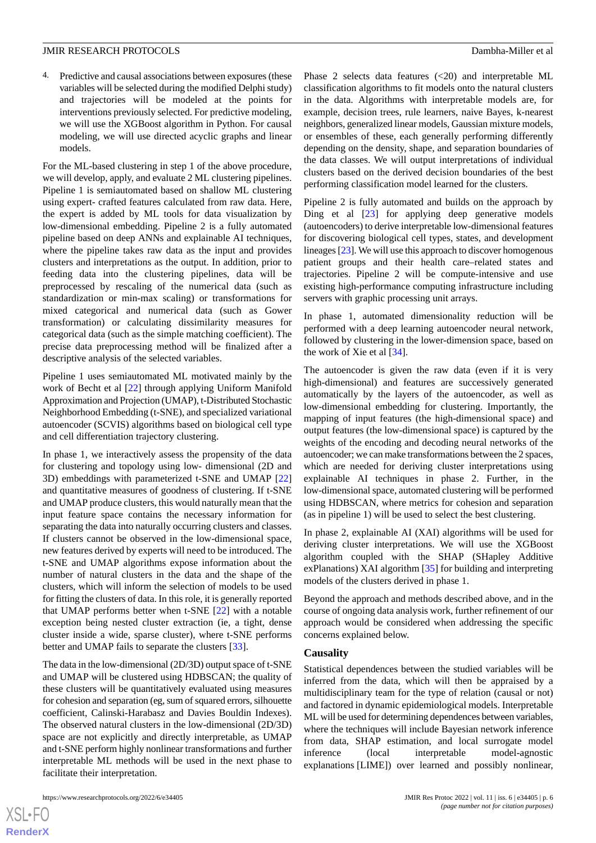4. Predictive and causal associations between exposures (these variables will be selected during the modified Delphi study) and trajectories will be modeled at the points for interventions previously selected. For predictive modeling, we will use the XGBoost algorithm in Python. For causal modeling, we will use directed acyclic graphs and linear models.

For the ML-based clustering in step 1 of the above procedure, we will develop, apply, and evaluate 2 ML clustering pipelines. Pipeline 1 is semiautomated based on shallow ML clustering using expert- crafted features calculated from raw data. Here, the expert is added by ML tools for data visualization by low-dimensional embedding. Pipeline 2 is a fully automated pipeline based on deep ANNs and explainable AI techniques, where the pipeline takes raw data as the input and provides clusters and interpretations as the output. In addition, prior to feeding data into the clustering pipelines, data will be preprocessed by rescaling of the numerical data (such as standardization or min-max scaling) or transformations for mixed categorical and numerical data (such as Gower transformation) or calculating dissimilarity measures for categorical data (such as the simple matching coefficient). The precise data preprocessing method will be finalized after a descriptive analysis of the selected variables.

Pipeline 1 uses semiautomated ML motivated mainly by the work of Becht et al [\[22](#page-8-19)] through applying Uniform Manifold Approximation and Projection (UMAP), t-Distributed Stochastic Neighborhood Embedding (t-SNE), and specialized variational autoencoder (SCVIS) algorithms based on biological cell type and cell differentiation trajectory clustering.

In phase 1, we interactively assess the propensity of the data for clustering and topology using low- dimensional (2D and 3D) embeddings with parameterized t-SNE and UMAP [\[22](#page-8-19)] and quantitative measures of goodness of clustering. If t-SNE and UMAP produce clusters, this would naturally mean that the input feature space contains the necessary information for separating the data into naturally occurring clusters and classes. If clusters cannot be observed in the low-dimensional space, new features derived by experts will need to be introduced. The t-SNE and UMAP algorithms expose information about the number of natural clusters in the data and the shape of the clusters, which will inform the selection of models to be used for fitting the clusters of data. In this role, it is generally reported that UMAP performs better when t-SNE [\[22](#page-8-19)] with a notable exception being nested cluster extraction (ie, a tight, dense cluster inside a wide, sparse cluster), where t-SNE performs better and UMAP fails to separate the clusters [\[33](#page-9-8)].

The data in the low-dimensional (2D/3D) output space of t-SNE and UMAP will be clustered using HDBSCAN; the quality of these clusters will be quantitatively evaluated using measures for cohesion and separation (eg, sum of squared errors, silhouette coefficient, Calinski-Harabasz and Davies Bouldin Indexes). The observed natural clusters in the low-dimensional (2D/3D) space are not explicitly and directly interpretable, as UMAP and t-SNE perform highly nonlinear transformations and further interpretable ML methods will be used in the next phase to facilitate their interpretation.

 $XS$  $\cdot$ FC **[RenderX](http://www.renderx.com/)**

Phase 2 selects data features (<20) and interpretable ML classification algorithms to fit models onto the natural clusters in the data. Algorithms with interpretable models are, for example, decision trees, rule learners, naive Bayes, k-nearest neighbors, generalized linear models, Gaussian mixture models, or ensembles of these, each generally performing differently depending on the density, shape, and separation boundaries of the data classes. We will output interpretations of individual clusters based on the derived decision boundaries of the best performing classification model learned for the clusters.

Pipeline 2 is fully automated and builds on the approach by Ding et al  $[23]$  $[23]$  for applying deep generative models (autoencoders) to derive interpretable low-dimensional features for discovering biological cell types, states, and development lineages [[23](#page-8-20)]. We will use this approach to discover homogenous patient groups and their health care–related states and trajectories. Pipeline 2 will be compute-intensive and use existing high-performance computing infrastructure including servers with graphic processing unit arrays.

In phase 1, automated dimensionality reduction will be performed with a deep learning autoencoder neural network, followed by clustering in the lower-dimension space, based on the work of Xie et al [[34\]](#page-9-9).

The autoencoder is given the raw data (even if it is very high-dimensional) and features are successively generated automatically by the layers of the autoencoder, as well as low-dimensional embedding for clustering. Importantly, the mapping of input features (the high-dimensional space) and output features (the low-dimensional space) is captured by the weights of the encoding and decoding neural networks of the autoencoder; we can make transformations between the 2 spaces, which are needed for deriving cluster interpretations using explainable AI techniques in phase 2. Further, in the low-dimensional space, automated clustering will be performed using HDBSCAN, where metrics for cohesion and separation (as in pipeline 1) will be used to select the best clustering.

In phase 2, explainable AI (XAI) algorithms will be used for deriving cluster interpretations. We will use the XGBoost algorithm coupled with the SHAP (SHapley Additive exPlanations) XAI algorithm [[35\]](#page-9-10) for building and interpreting models of the clusters derived in phase 1.

Beyond the approach and methods described above, and in the course of ongoing data analysis work, further refinement of our approach would be considered when addressing the specific concerns explained below.

#### **Causality**

Statistical dependences between the studied variables will be inferred from the data, which will then be appraised by a multidisciplinary team for the type of relation (causal or not) and factored in dynamic epidemiological models. Interpretable ML will be used for determining dependences between variables, where the techniques will include Bayesian network inference from data, SHAP estimation, and local surrogate model inference (local interpretable model-agnostic explanations [LIME]) over learned and possibly nonlinear,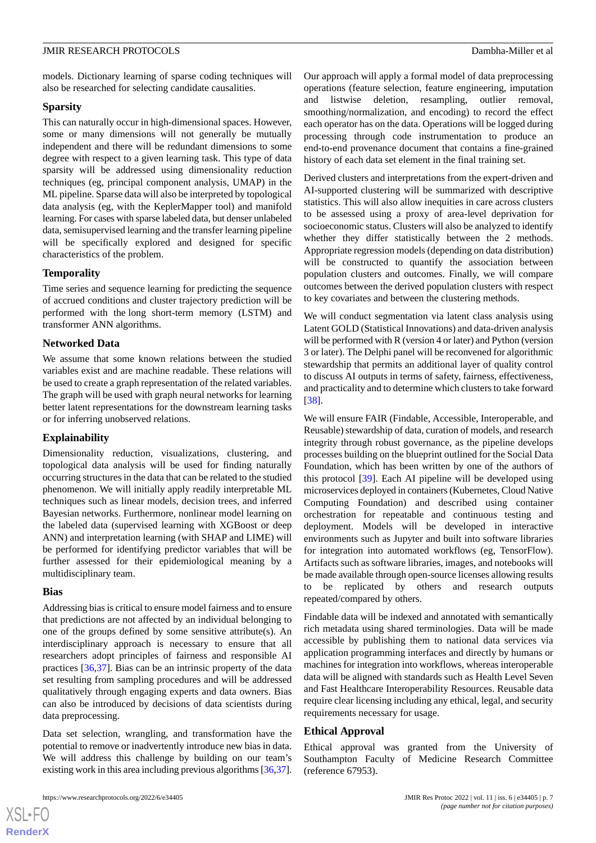models. Dictionary learning of sparse coding techniques will also be researched for selecting candidate causalities.

## **Sparsity**

This can naturally occur in high-dimensional spaces. However, some or many dimensions will not generally be mutually independent and there will be redundant dimensions to some degree with respect to a given learning task. This type of data sparsity will be addressed using dimensionality reduction techniques (eg, principal component analysis, UMAP) in the ML pipeline. Sparse data will also be interpreted by topological data analysis (eg, with the KeplerMapper tool) and manifold learning. For cases with sparse labeled data, but denser unlabeled data, semisupervised learning and the transfer learning pipeline will be specifically explored and designed for specific characteristics of the problem.

## **Temporality**

Time series and sequence learning for predicting the sequence of accrued conditions and cluster trajectory prediction will be performed with the long short-term memory (LSTM) and transformer ANN algorithms.

## **Networked Data**

We assume that some known relations between the studied variables exist and are machine readable. These relations will be used to create a graph representation of the related variables. The graph will be used with graph neural networks for learning better latent representations for the downstream learning tasks or for inferring unobserved relations.

## **Explainability**

Dimensionality reduction, visualizations, clustering, and topological data analysis will be used for finding naturally occurring structures in the data that can be related to the studied phenomenon. We will initially apply readily interpretable ML techniques such as linear models, decision trees, and inferred Bayesian networks. Furthermore, nonlinear model learning on the labeled data (supervised learning with XGBoost or deep ANN) and interpretation learning (with SHAP and LIME) will be performed for identifying predictor variables that will be further assessed for their epidemiological meaning by a multidisciplinary team.

## **Bias**

[XSL](http://www.w3.org/Style/XSL)•FO **[RenderX](http://www.renderx.com/)**

Addressing bias is critical to ensure model fairness and to ensure that predictions are not affected by an individual belonging to one of the groups defined by some sensitive attribute(s). An interdisciplinary approach is necessary to ensure that all researchers adopt principles of fairness and responsible AI practices [\[36](#page-9-11),[37\]](#page-9-12). Bias can be an intrinsic property of the data set resulting from sampling procedures and will be addressed qualitatively through engaging experts and data owners. Bias can also be introduced by decisions of data scientists during data preprocessing.

Data set selection, wrangling, and transformation have the potential to remove or inadvertently introduce new bias in data. We will address this challenge by building on our team's existing work in this area including previous algorithms [[36,](#page-9-11)[37\]](#page-9-12).

https://www.researchprotocols.org/2022/6/e34405 **JMIR Res Protoc 2022 | vol. 11 | iss. 6 | e34405 | p. 7** 

Our approach will apply a formal model of data preprocessing operations (feature selection, feature engineering, imputation and listwise deletion, resampling, outlier removal, smoothing/normalization, and encoding) to record the effect each operator has on the data. Operations will be logged during processing through code instrumentation to produce an end-to-end provenance document that contains a fine-grained history of each data set element in the final training set.

Derived clusters and interpretations from the expert-driven and AI-supported clustering will be summarized with descriptive statistics. This will also allow inequities in care across clusters to be assessed using a proxy of area-level deprivation for socioeconomic status. Clusters will also be analyzed to identify whether they differ statistically between the 2 methods. Appropriate regression models (depending on data distribution) will be constructed to quantify the association between population clusters and outcomes. Finally, we will compare outcomes between the derived population clusters with respect to key covariates and between the clustering methods.

We will conduct segmentation via latent class analysis using Latent GOLD (Statistical Innovations) and data-driven analysis will be performed with R (version 4 or later) and Python (version 3 or later). The Delphi panel will be reconvened for algorithmic stewardship that permits an additional layer of quality control to discuss AI outputs in terms of safety, fairness, effectiveness, and practicality and to determine which clusters to take forward [[38\]](#page-9-13).

We will ensure FAIR (Findable, Accessible, Interoperable, and Reusable) stewardship of data, curation of models, and research integrity through robust governance, as the pipeline develops processes building on the blueprint outlined for the Social Data Foundation, which has been written by one of the authors of this protocol [[39\]](#page-9-14). Each AI pipeline will be developed using microservices deployed in containers (Kubernetes, Cloud Native Computing Foundation) and described using container orchestration for repeatable and continuous testing and deployment. Models will be developed in interactive environments such as Jupyter and built into software libraries for integration into automated workflows (eg, TensorFlow). Artifacts such as software libraries, images, and notebooks will be made available through open-source licenses allowing results to be replicated by others and research outputs repeated/compared by others.

Findable data will be indexed and annotated with semantically rich metadata using shared terminologies. Data will be made accessible by publishing them to national data services via application programming interfaces and directly by humans or machines for integration into workflows, whereas interoperable data will be aligned with standards such as Health Level Seven and Fast Healthcare Interoperability Resources. Reusable data require clear licensing including any ethical, legal, and security requirements necessary for usage.

## **Ethical Approval**

Ethical approval was granted from the University of Southampton Faculty of Medicine Research Committee (reference 67953).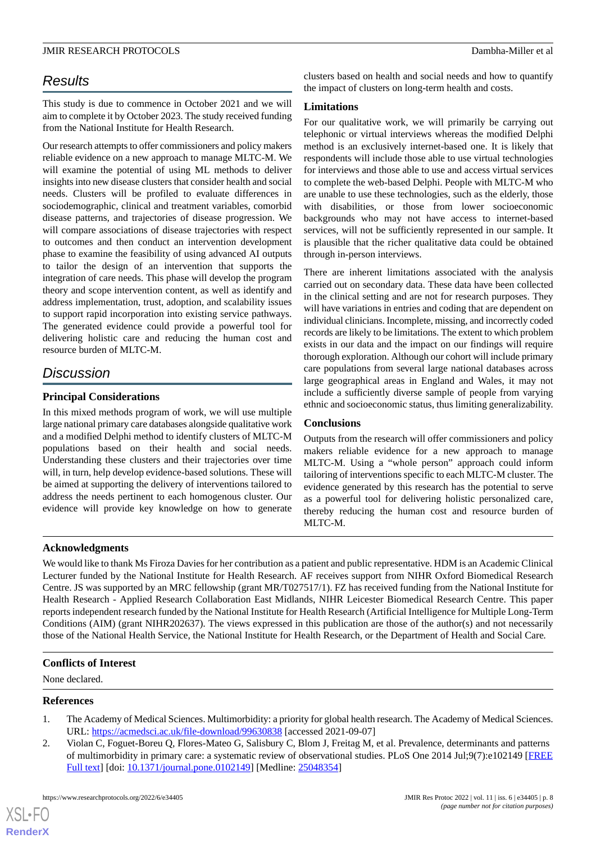## *Results*

This study is due to commence in October 2021 and we will aim to complete it by October 2023. The study received funding from the National Institute for Health Research.

Our research attempts to offer commissioners and policy makers reliable evidence on a new approach to manage MLTC-M. We will examine the potential of using ML methods to deliver insights into new disease clusters that consider health and social needs. Clusters will be profiled to evaluate differences in sociodemographic, clinical and treatment variables, comorbid disease patterns, and trajectories of disease progression. We will compare associations of disease trajectories with respect to outcomes and then conduct an intervention development phase to examine the feasibility of using advanced AI outputs to tailor the design of an intervention that supports the integration of care needs. This phase will develop the program theory and scope intervention content, as well as identify and address implementation, trust, adoption, and scalability issues to support rapid incorporation into existing service pathways. The generated evidence could provide a powerful tool for delivering holistic care and reducing the human cost and resource burden of MLTC-M.

## *Discussion*

## **Principal Considerations**

In this mixed methods program of work, we will use multiple large national primary care databases alongside qualitative work and a modified Delphi method to identify clusters of MLTC-M populations based on their health and social needs. Understanding these clusters and their trajectories over time will, in turn, help develop evidence-based solutions. These will be aimed at supporting the delivery of interventions tailored to address the needs pertinent to each homogenous cluster. Our evidence will provide key knowledge on how to generate clusters based on health and social needs and how to quantify the impact of clusters on long-term health and costs.

## **Limitations**

For our qualitative work, we will primarily be carrying out telephonic or virtual interviews whereas the modified Delphi method is an exclusively internet-based one. It is likely that respondents will include those able to use virtual technologies for interviews and those able to use and access virtual services to complete the web-based Delphi. People with MLTC-M who are unable to use these technologies, such as the elderly, those with disabilities, or those from lower socioeconomic backgrounds who may not have access to internet-based services, will not be sufficiently represented in our sample. It is plausible that the richer qualitative data could be obtained through in-person interviews.

There are inherent limitations associated with the analysis carried out on secondary data. These data have been collected in the clinical setting and are not for research purposes. They will have variations in entries and coding that are dependent on individual clinicians. Incomplete, missing, and incorrectly coded records are likely to be limitations. The extent to which problem exists in our data and the impact on our findings will require thorough exploration. Although our cohort will include primary care populations from several large national databases across large geographical areas in England and Wales, it may not include a sufficiently diverse sample of people from varying ethnic and socioeconomic status, thus limiting generalizability.

## **Conclusions**

Outputs from the research will offer commissioners and policy makers reliable evidence for a new approach to manage MLTC-M. Using a "whole person" approach could inform tailoring of interventions specific to each MLTC-M cluster. The evidence generated by this research has the potential to serve as a powerful tool for delivering holistic personalized care, thereby reducing the human cost and resource burden of MLTC-M.

## **Acknowledgments**

We would like to thank Ms Firoza Davies for her contribution as a patient and public representative. HDM is an Academic Clinical Lecturer funded by the National Institute for Health Research. AF receives support from NIHR Oxford Biomedical Research Centre. JS was supported by an MRC fellowship (grant MR/T027517/1). FZ has received funding from the National Institute for Health Research - Applied Research Collaboration East Midlands, NIHR Leicester Biomedical Research Centre. This paper reports independent research funded by the National Institute for Health Research (Artificial Intelligence for Multiple Long-Term Conditions (AIM) (grant NIHR202637). The views expressed in this publication are those of the author(s) and not necessarily those of the National Health Service, the National Institute for Health Research, or the Department of Health and Social Care*.*

## <span id="page-7-1"></span><span id="page-7-0"></span>**Conflicts of Interest**

None declared.

## **References**

[XSL](http://www.w3.org/Style/XSL)•FO **[RenderX](http://www.renderx.com/)**

- 1. The Academy of Medical Sciences. Multimorbidity: a priority for global health research. The Academy of Medical Sciences. URL: <https://acmedsci.ac.uk/file-download/99630838> [accessed 2021-09-07]
- 2. Violan C, Foguet-Boreu Q, Flores-Mateo G, Salisbury C, Blom J, Freitag M, et al. Prevalence, determinants and patterns of multimorbidity in primary care: a systematic review of observational studies. PLoS One 2014 Jul;9(7):e102149 [[FREE](http://dx.plos.org/10.1371/journal.pone.0102149) [Full text\]](http://dx.plos.org/10.1371/journal.pone.0102149) [doi: [10.1371/journal.pone.0102149](http://dx.doi.org/10.1371/journal.pone.0102149)] [Medline: [25048354](http://www.ncbi.nlm.nih.gov/entrez/query.fcgi?cmd=Retrieve&db=PubMed&list_uids=25048354&dopt=Abstract)]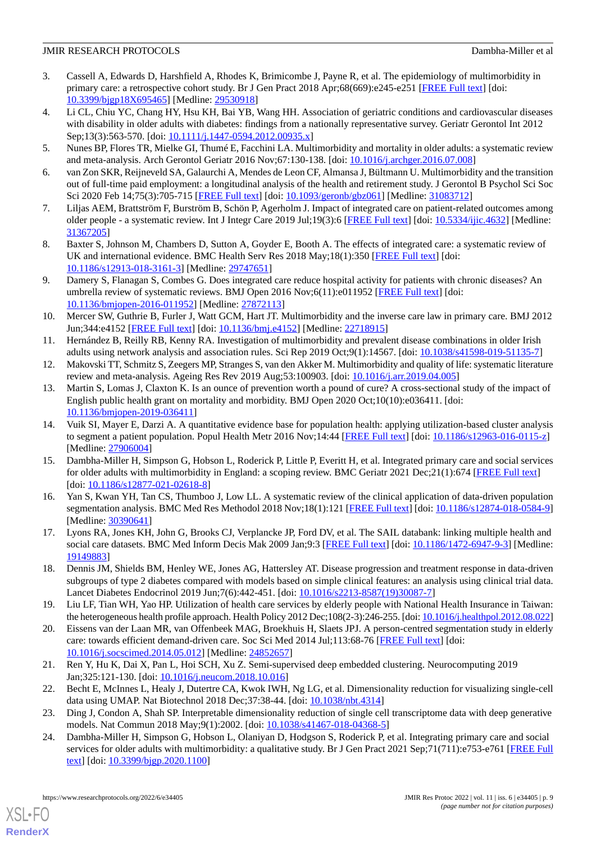- <span id="page-8-0"></span>3. Cassell A, Edwards D, Harshfield A, Rhodes K, Brimicombe J, Payne R, et al. The epidemiology of multimorbidity in primary care: a retrospective cohort study. Br J Gen Pract 2018 Apr;68(669):e245-e251 [[FREE Full text](https://bjgp.org/cgi/pmidlookup?view=long&pmid=29530918)] [doi: [10.3399/bjgp18X695465\]](http://dx.doi.org/10.3399/bjgp18X695465) [Medline: [29530918\]](http://www.ncbi.nlm.nih.gov/entrez/query.fcgi?cmd=Retrieve&db=PubMed&list_uids=29530918&dopt=Abstract)
- <span id="page-8-1"></span>4. Li CL, Chiu YC, Chang HY, Hsu KH, Bai YB, Wang HH. Association of geriatric conditions and cardiovascular diseases with disability in older adults with diabetes: findings from a nationally representative survey. Geriatr Gerontol Int 2012 Sep;13(3):563-570. [doi: [10.1111/j.1447-0594.2012.00935.x\]](http://dx.doi.org/10.1111/j.1447-0594.2012.00935.x)
- <span id="page-8-3"></span><span id="page-8-2"></span>5. Nunes BP, Flores TR, Mielke GI, Thumé E, Facchini LA. Multimorbidity and mortality in older adults: a systematic review and meta-analysis. Arch Gerontol Geriatr 2016 Nov;67:130-138. [doi: [10.1016/j.archger.2016.07.008](http://dx.doi.org/10.1016/j.archger.2016.07.008)]
- <span id="page-8-4"></span>6. van Zon SKR, Reijneveld SA, Galaurchi A, Mendes de Leon CF, Almansa J, Bültmann U. Multimorbidity and the transition out of full-time paid employment: a longitudinal analysis of the health and retirement study. J Gerontol B Psychol Sci Soc Sci 2020 Feb 14;75(3):705-715 [\[FREE Full text\]](http://europepmc.org/abstract/MED/31083712) [doi: [10.1093/geronb/gbz061](http://dx.doi.org/10.1093/geronb/gbz061)] [Medline: [31083712\]](http://www.ncbi.nlm.nih.gov/entrez/query.fcgi?cmd=Retrieve&db=PubMed&list_uids=31083712&dopt=Abstract)
- <span id="page-8-5"></span>7. Liljas AEM, Brattström F, Burström B, Schön P, Agerholm J. Impact of integrated care on patient-related outcomes among older people - a systematic review. Int J Integr Care 2019 Jul;19(3):6 [\[FREE Full text\]](http://europepmc.org/abstract/MED/31367205) [doi: [10.5334/ijic.4632](http://dx.doi.org/10.5334/ijic.4632)] [Medline: [31367205](http://www.ncbi.nlm.nih.gov/entrez/query.fcgi?cmd=Retrieve&db=PubMed&list_uids=31367205&dopt=Abstract)]
- <span id="page-8-6"></span>8. Baxter S, Johnson M, Chambers D, Sutton A, Goyder E, Booth A. The effects of integrated care: a systematic review of UK and international evidence. BMC Health Serv Res 2018 May;18(1):350 [[FREE Full text](https://bmchealthservres.biomedcentral.com/articles/10.1186/s12913-018-3161-3)] [doi: [10.1186/s12913-018-3161-3\]](http://dx.doi.org/10.1186/s12913-018-3161-3) [Medline: [29747651](http://www.ncbi.nlm.nih.gov/entrez/query.fcgi?cmd=Retrieve&db=PubMed&list_uids=29747651&dopt=Abstract)]
- <span id="page-8-7"></span>9. Damery S, Flanagan S, Combes G. Does integrated care reduce hospital activity for patients with chronic diseases? An umbrella review of systematic reviews. BMJ Open 2016 Nov;6(11):e011952 [\[FREE Full text](http://bmjopen.bmj.com/cgi/pmidlookup?view=long&pmid=27872113)] [doi: [10.1136/bmjopen-2016-011952\]](http://dx.doi.org/10.1136/bmjopen-2016-011952) [Medline: [27872113](http://www.ncbi.nlm.nih.gov/entrez/query.fcgi?cmd=Retrieve&db=PubMed&list_uids=27872113&dopt=Abstract)]
- <span id="page-8-8"></span>10. Mercer SW, Guthrie B, Furler J, Watt GCM, Hart JT. Multimorbidity and the inverse care law in primary care. BMJ 2012 Jun;344:e4152 [\[FREE Full text\]](https://doi.org/10.1136/bmj.e4152) [doi: [10.1136/bmj.e4152\]](http://dx.doi.org/10.1136/bmj.e4152) [Medline: [22718915](http://www.ncbi.nlm.nih.gov/entrez/query.fcgi?cmd=Retrieve&db=PubMed&list_uids=22718915&dopt=Abstract)]
- <span id="page-8-10"></span><span id="page-8-9"></span>11. Hernández B, Reilly RB, Kenny RA. Investigation of multimorbidity and prevalent disease combinations in older Irish adults using network analysis and association rules. Sci Rep 2019 Oct;9(1):14567. [doi: [10.1038/s41598-019-51135-7\]](http://dx.doi.org/10.1038/s41598-019-51135-7)
- 12. Makovski TT, Schmitz S, Zeegers MP, Stranges S, van den Akker M. Multimorbidity and quality of life: systematic literature review and meta-analysis. Ageing Res Rev 2019 Aug;53:100903. [doi: [10.1016/j.arr.2019.04.005\]](http://dx.doi.org/10.1016/j.arr.2019.04.005)
- <span id="page-8-11"></span>13. Martin S, Lomas J, Claxton K. Is an ounce of prevention worth a pound of cure? A cross-sectional study of the impact of English public health grant on mortality and morbidity. BMJ Open 2020 Oct;10(10):e036411. [doi: [10.1136/bmjopen-2019-036411\]](http://dx.doi.org/10.1136/bmjopen-2019-036411)
- <span id="page-8-12"></span>14. Vuik SI, Mayer E, Darzi A. A quantitative evidence base for population health: applying utilization-based cluster analysis to segment a patient population. Popul Health Metr 2016 Nov;14:44 [[FREE Full text](https://doi.org/10.1186/s12963-016-0115-z)] [doi: [10.1186/s12963-016-0115-z](http://dx.doi.org/10.1186/s12963-016-0115-z)] [Medline: [27906004](http://www.ncbi.nlm.nih.gov/entrez/query.fcgi?cmd=Retrieve&db=PubMed&list_uids=27906004&dopt=Abstract)]
- <span id="page-8-13"></span>15. Dambha-Miller H, Simpson G, Hobson L, Roderick P, Little P, Everitt H, et al. Integrated primary care and social services for older adults with multimorbidity in England: a scoping review. BMC Geriatr 2021 Dec;21(1):674 [\[FREE Full text\]](https://bmcgeriatr.biomedcentral.com/articles/10.1186/s12877-021-02618-8) [doi: [10.1186/s12877-021-02618-8](http://dx.doi.org/10.1186/s12877-021-02618-8)]
- <span id="page-8-15"></span><span id="page-8-14"></span>16. Yan S, Kwan YH, Tan CS, Thumboo J, Low LL. A systematic review of the clinical application of data-driven population segmentation analysis. BMC Med Res Methodol 2018 Nov;18(1):121 [[FREE Full text\]](https://doi.org/10.1186/s12874-018-0584-9) [doi: [10.1186/s12874-018-0584-9](http://dx.doi.org/10.1186/s12874-018-0584-9)] [Medline: [30390641](http://www.ncbi.nlm.nih.gov/entrez/query.fcgi?cmd=Retrieve&db=PubMed&list_uids=30390641&dopt=Abstract)]
- <span id="page-8-16"></span>17. Lyons RA, Jones KH, John G, Brooks CJ, Verplancke JP, Ford DV, et al. The SAIL databank: linking multiple health and social care datasets. BMC Med Inform Decis Mak 2009 Jan;9:3 [[FREE Full text\]](https://bmcmedinformdecismak.biomedcentral.com/articles/10.1186/1472-6947-9-3) [doi: [10.1186/1472-6947-9-3\]](http://dx.doi.org/10.1186/1472-6947-9-3) [Medline: [19149883](http://www.ncbi.nlm.nih.gov/entrez/query.fcgi?cmd=Retrieve&db=PubMed&list_uids=19149883&dopt=Abstract)]
- <span id="page-8-17"></span>18. Dennis JM, Shields BM, Henley WE, Jones AG, Hattersley AT. Disease progression and treatment response in data-driven subgroups of type 2 diabetes compared with models based on simple clinical features: an analysis using clinical trial data. Lancet Diabetes Endocrinol 2019 Jun;7(6):442-451. [doi: [10.1016/s2213-8587\(19\)30087-7\]](http://dx.doi.org/10.1016/s2213-8587(19)30087-7)
- <span id="page-8-18"></span>19. Liu LF, Tian WH, Yao HP. Utilization of health care services by elderly people with National Health Insurance in Taiwan: the heterogeneous health profile approach. Health Policy 2012 Dec;108(2-3):246-255. [doi: [10.1016/j.healthpol.2012.08.022\]](http://dx.doi.org/10.1016/j.healthpol.2012.08.022)
- <span id="page-8-20"></span><span id="page-8-19"></span>20. Eissens van der Laan MR, van Offenbeek MAG, Broekhuis H, Slaets JPJ. A person-centred segmentation study in elderly care: towards efficient demand-driven care. Soc Sci Med 2014 Jul;113:68-76 [\[FREE Full text\]](https://doi.org/10.1016/j.socscimed.2014.05.012) [doi: [10.1016/j.socscimed.2014.05.012](http://dx.doi.org/10.1016/j.socscimed.2014.05.012)] [Medline: [24852657](http://www.ncbi.nlm.nih.gov/entrez/query.fcgi?cmd=Retrieve&db=PubMed&list_uids=24852657&dopt=Abstract)]
- <span id="page-8-21"></span>21. Ren Y, Hu K, Dai X, Pan L, Hoi SCH, Xu Z. Semi-supervised deep embedded clustering. Neurocomputing 2019 Jan;325:121-130. [doi: [10.1016/j.neucom.2018.10.016\]](http://dx.doi.org/10.1016/j.neucom.2018.10.016)
- 22. Becht E, McInnes L, Healy J, Dutertre CA, Kwok IWH, Ng LG, et al. Dimensionality reduction for visualizing single-cell data using UMAP. Nat Biotechnol 2018 Dec;37:38-44. [doi: [10.1038/nbt.4314](http://dx.doi.org/10.1038/nbt.4314)]
- 23. Ding J, Condon A, Shah SP. Interpretable dimensionality reduction of single cell transcriptome data with deep generative models. Nat Commun 2018 May;9(1):2002. [doi: [10.1038/s41467-018-04368-5\]](http://dx.doi.org/10.1038/s41467-018-04368-5)
- 24. Dambha-Miller H, Simpson G, Hobson L, Olaniyan D, Hodgson S, Roderick P, et al. Integrating primary care and social services for older adults with multimorbidity: a qualitative study. Br J Gen Pract 2021 Sep;71(711):e753-e761 [[FREE Full](https://doi.org/10.3399/BJGP.2020.1100) [text](https://doi.org/10.3399/BJGP.2020.1100)] [doi: [10.3399/bjgp.2020.1100\]](http://dx.doi.org/10.3399/bjgp.2020.1100)

[XSL](http://www.w3.org/Style/XSL)•FO **[RenderX](http://www.renderx.com/)**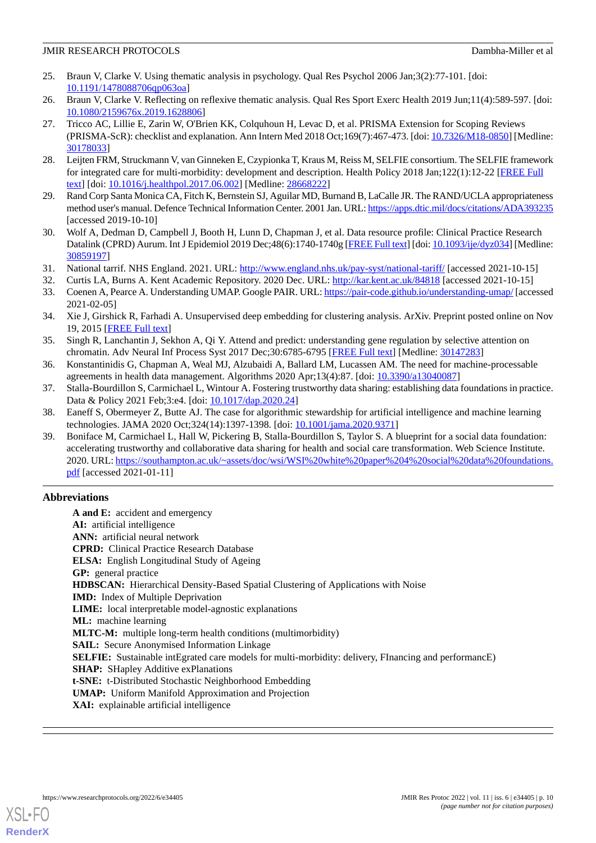- <span id="page-9-0"></span>25. Braun V, Clarke V. Using thematic analysis in psychology. Qual Res Psychol 2006 Jan;3(2):77-101. [doi: [10.1191/1478088706qp063oa](http://dx.doi.org/10.1191/1478088706qp063oa)]
- <span id="page-9-2"></span><span id="page-9-1"></span>26. Braun V, Clarke V. Reflecting on reflexive thematic analysis. Qual Res Sport Exerc Health 2019 Jun;11(4):589-597. [doi: [10.1080/2159676x.2019.1628806\]](http://dx.doi.org/10.1080/2159676x.2019.1628806)
- 27. Tricco AC, Lillie E, Zarin W, O'Brien KK, Colquhoun H, Levac D, et al. PRISMA Extension for Scoping Reviews (PRISMA-ScR): checklist and explanation. Ann Intern Med 2018 Oct;169(7):467-473. [doi: [10.7326/M18-0850](http://dx.doi.org/10.7326/M18-0850)] [Medline: [30178033](http://www.ncbi.nlm.nih.gov/entrez/query.fcgi?cmd=Retrieve&db=PubMed&list_uids=30178033&dopt=Abstract)]
- <span id="page-9-4"></span><span id="page-9-3"></span>28. Leijten FRM, Struckmann V, van Ginneken E, Czypionka T, Kraus M, Reiss M, SELFIE consortium. The SELFIE framework for integrated care for multi-morbidity: development and description. Health Policy 2018 Jan;122(1):12-22 [[FREE Full](https://linkinghub.elsevier.com/retrieve/pii/S0168-8510(17)30166-5) [text](https://linkinghub.elsevier.com/retrieve/pii/S0168-8510(17)30166-5)] [doi: [10.1016/j.healthpol.2017.06.002\]](http://dx.doi.org/10.1016/j.healthpol.2017.06.002) [Medline: [28668222\]](http://www.ncbi.nlm.nih.gov/entrez/query.fcgi?cmd=Retrieve&db=PubMed&list_uids=28668222&dopt=Abstract)
- <span id="page-9-5"></span>29. Rand Corp Santa Monica CA, Fitch K, Bernstein SJ, Aguilar MD, Burnand B, LaCalle JR. The RAND/UCLA appropriateness method user's manual. Defence Technical Information Center. 2001 Jan. URL:<https://apps.dtic.mil/docs/citations/ADA393235> [accessed 2019-10-10]
- <span id="page-9-6"></span>30. Wolf A, Dedman D, Campbell J, Booth H, Lunn D, Chapman J, et al. Data resource profile: Clinical Practice Research Datalink (CPRD) Aurum. Int J Epidemiol 2019 Dec;48(6):1740-1740g [\[FREE Full text\]](http://europepmc.org/abstract/MED/30859197) [doi: [10.1093/ije/dyz034\]](http://dx.doi.org/10.1093/ije/dyz034) [Medline: [30859197](http://www.ncbi.nlm.nih.gov/entrez/query.fcgi?cmd=Retrieve&db=PubMed&list_uids=30859197&dopt=Abstract)]
- <span id="page-9-8"></span><span id="page-9-7"></span>31. National tarrif. NHS England. 2021. URL: <http://www.england.nhs.uk/pay-syst/national-tariff/> [accessed 2021-10-15]
- <span id="page-9-9"></span>32. Curtis LA, Burns A. Kent Academic Repository. 2020 Dec. URL:<http://kar.kent.ac.uk/84818> [accessed 2021-10-15]
- 33. Coenen A, Pearce A. Understanding UMAP. Google PAIR. URL:<https://pair-code.github.io/understanding-umap/> [accessed 2021-02-05]
- <span id="page-9-10"></span>34. Xie J, Girshick R, Farhadi A. Unsupervised deep embedding for clustering analysis. ArXiv. Preprint posted online on Nov 19, 2015 [\[FREE Full text\]](http://arxiv.org/abs/1511.06335)
- <span id="page-9-12"></span><span id="page-9-11"></span>35. Singh R, Lanchantin J, Sekhon A, Qi Y. Attend and predict: understanding gene regulation by selective attention on chromatin. Adv Neural Inf Process Syst 2017 Dec;30:6785-6795 [[FREE Full text](http://europepmc.org/abstract/MED/30147283)] [Medline: [30147283\]](http://www.ncbi.nlm.nih.gov/entrez/query.fcgi?cmd=Retrieve&db=PubMed&list_uids=30147283&dopt=Abstract)
- <span id="page-9-13"></span>36. Konstantinidis G, Chapman A, Weal MJ, Alzubaidi A, Ballard LM, Lucassen AM. The need for machine-processable agreements in health data management. Algorithms 2020 Apr;13(4):87. [doi: [10.3390/a13040087](http://dx.doi.org/10.3390/a13040087)]
- <span id="page-9-14"></span>37. Stalla-Bourdillon S, Carmichael L, Wintour A. Fostering trustworthy data sharing: establishing data foundations in practice. Data & Policy 2021 Feb;3:e4. [doi: [10.1017/dap.2020.24\]](http://dx.doi.org/10.1017/dap.2020.24)
- 38. Eaneff S, Obermeyer Z, Butte AJ. The case for algorithmic stewardship for artificial intelligence and machine learning technologies. JAMA 2020 Oct;324(14):1397-1398. [doi: [10.1001/jama.2020.9371\]](http://dx.doi.org/10.1001/jama.2020.9371)
- 39. Boniface M, Carmichael L, Hall W, Pickering B, Stalla-Bourdillon S, Taylor S. A blueprint for a social data foundation: accelerating trustworthy and collaborative data sharing for health and social care transformation. Web Science Institute. 2020. URL: [https://southampton.ac.uk/~assets/doc/wsi/WSI%20white%20paper%204%20social%20data%20foundations.](https://southampton.ac.uk/~assets/doc/wsi/WSI%20white%20paper%204%20social%20data%20foundations.pdf) [pdf](https://southampton.ac.uk/~assets/doc/wsi/WSI%20white%20paper%204%20social%20data%20foundations.pdf) [accessed 2021-01-11]

## **Abbreviations**

**A and E:** accident and emergency **AI:** artificial intelligence **ANN:** artificial neural network **CPRD:** Clinical Practice Research Database **ELSA:** English Longitudinal Study of Ageing **GP:** general practice **HDBSCAN:** Hierarchical Density-Based Spatial Clustering of Applications with Noise **IMD:** Index of Multiple Deprivation **LIME:** local interpretable model-agnostic explanations **ML:** machine learning **MLTC-M:** multiple long-term health conditions (multimorbidity) **SAIL:** Secure Anonymised Information Linkage **SELFIE:** Sustainable intEgrated care models for multi-morbidity: delivery, FInancing and performancE) **SHAP:** SHapley Additive exPlanations **t-SNE:** t-Distributed Stochastic Neighborhood Embedding **UMAP:** Uniform Manifold Approximation and Projection **XAI:** explainable artificial intelligence